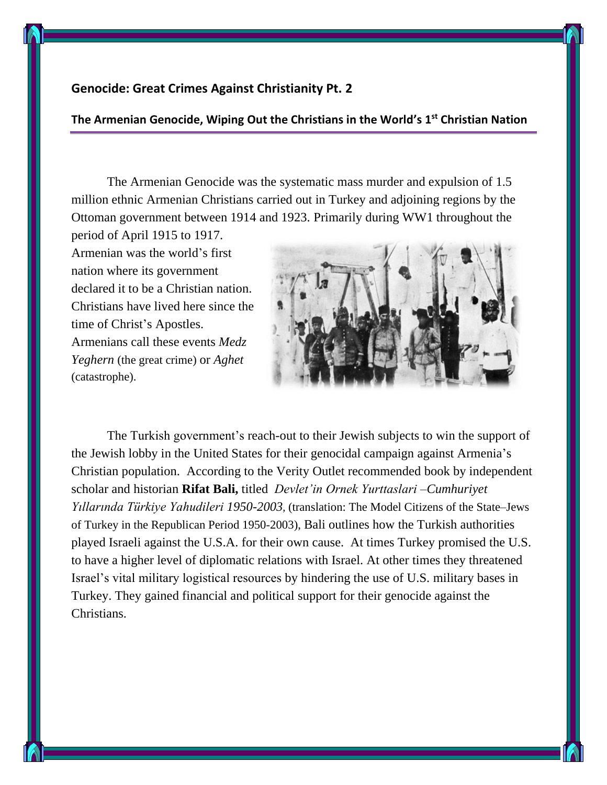## **Genocide: Great Crimes Against Christianity Pt. 2**

## **The Armenian Genocide, Wiping Out the Christians in the World's 1st Christian Nation**

The Armenian Genocide was the systematic mass murder and expulsion of 1.5 million ethnic Armenian Christians carried out in Turkey and adjoining regions by the Ottoman government between 1914 and 1923. Primarily during WW1 throughout the period of April 1915 to 1917.

Armenian was the world's first nation where its government declared it to be a Christian nation. Christians have lived here since the time of Christ's Apostles. Armenians call these events *Medz Yeghern* (the great crime) or *Aghet* (catastrophe).



The Turkish government's reach-out to their Jewish subjects to win the support of the Jewish lobby in the United States for their genocidal campaign against Armenia's Christian population. According to the Verity Outlet recommended book by independent scholar and historian **Rifat Bali,** titled *Devlet'in Ornek Yurttaslari –Cumhuriyet Yıllarında Türkiye Yahudileri 1950-2003*, (translation: The Model Citizens of the State–Jews of Turkey in the Republican Period 1950-2003), Bali outlines how the Turkish authorities played Israeli against the U.S.A. for their own cause. At times Turkey promised the U.S. to have a higher level of diplomatic relations with Israel. At other times they threatened Israel's vital military logistical resources by hindering the use of U.S. military bases in Turkey. They gained financial and political support for their genocide against the Christians.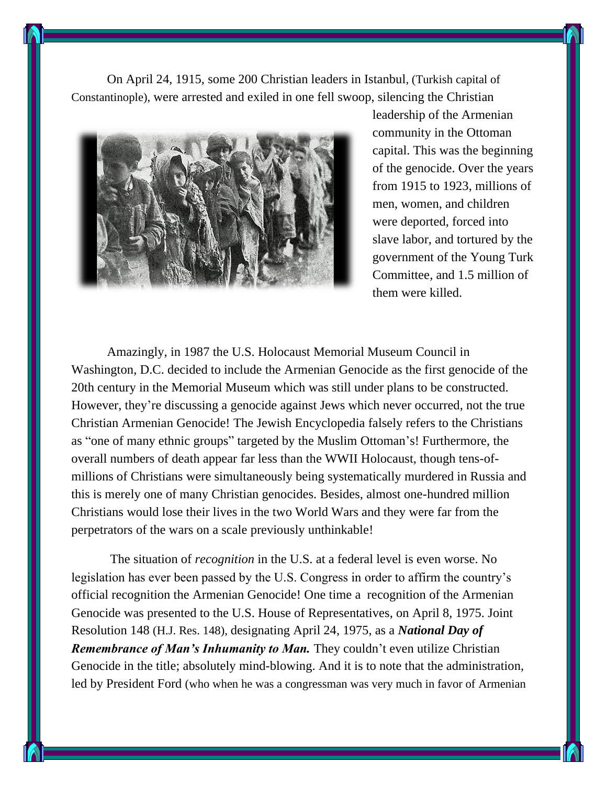On April 24, 1915, some 200 Christian leaders in Istanbul, (Turkish capital of Constantinople), were arrested and exiled in one fell swoop, silencing the Christian



leadership of the Armenian community in the Ottoman capital. This was the beginning of the genocide. Over the years from 1915 to 1923, millions of men, women, and children were deported, forced into slave labor, and tortured by the government of the Young Turk Committee, and 1.5 million of them were killed.

Amazingly, in 1987 the U.S. Holocaust Memorial Museum Council in Washington, D.C. decided to include the Armenian Genocide as the first genocide of the 20th century in the Memorial Museum which was still under plans to be constructed. However, they're discussing a genocide against Jews which never occurred, not the true Christian Armenian Genocide! The Jewish Encyclopedia falsely refers to the Christians as "one of many ethnic groups" targeted by the Muslim Ottoman's! Furthermore, the overall numbers of death appear far less than the WWII Holocaust, though tens-ofmillions of Christians were simultaneously being systematically murdered in Russia and this is merely one of many Christian genocides. Besides, almost one-hundred million Christians would lose their lives in the two World Wars and they were far from the perpetrators of the wars on a scale previously unthinkable!

The situation of *recognition* in the U.S. at a federal level is even worse. No legislation has ever been passed by the U.S. Congress in order to affirm the country's official recognition the Armenian Genocide! One time a recognition of the Armenian Genocide was presented to the U.S. House of Representatives, on April 8, 1975. Joint Resolution 148 (H.J. Res. 148), designating April 24, 1975, as a *National Day of Remembrance of Man's Inhumanity to Man.* They couldn't even utilize Christian Genocide in the title; absolutely mind-blowing. And it is to note that the administration, led by President Ford (who when he was a congressman was very much in favor of Armenian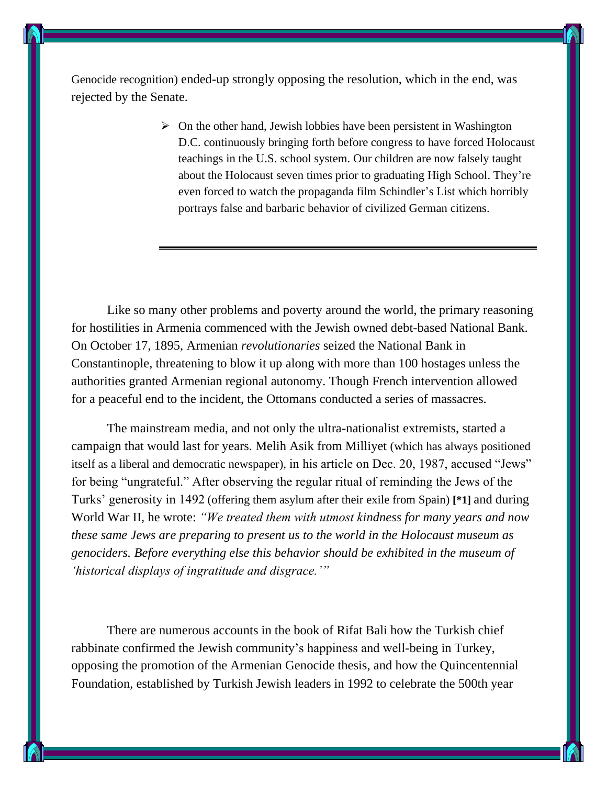Genocide recognition) ended-up strongly opposing the resolution, which in the end, was rejected by the Senate.

> $\triangleright$  On the other hand, Jewish lobbies have been persistent in Washington D.C. continuously bringing forth before congress to have forced Holocaust teachings in the U.S. school system. Our children are now falsely taught about the Holocaust seven times prior to graduating High School. They're even forced to watch the propaganda film Schindler's List which horribly portrays false and barbaric behavior of civilized German citizens.

Like so many other problems and poverty around the world, the primary reasoning for hostilities in Armenia commenced with the Jewish owned debt-based National Bank. On October 17, 1895, Armenian *revolutionaries* seized the National Bank in Constantinople, threatening to blow it up along with more than 100 hostages unless the authorities granted Armenian regional autonomy. Though French intervention allowed for a peaceful end to the incident, the Ottomans conducted a series of massacres.

The mainstream media, and not only the ultra-nationalist extremists, started a campaign that would last for years. Melih Asik from Milliyet (which has always positioned itself as a liberal and democratic newspaper), in his article on Dec. 20, 1987, accused "Jews" for being "ungrateful." After observing the regular ritual of reminding the Jews of the Turks' generosity in 1492 (offering them asylum after their exile from Spain) **[\*1]** and during World War II, he wrote: *"We treated them with utmost kindness for many years and now these same Jews are preparing to present us to the world in the Holocaust museum as genociders. Before everything else this behavior should be exhibited in the museum of 'historical displays of ingratitude and disgrace.'"*

There are numerous accounts in the book of Rifat Bali how the Turkish chief rabbinate confirmed the Jewish community's happiness and well-being in Turkey, opposing the promotion of the Armenian Genocide thesis, and how the Quincentennial Foundation, established by Turkish Jewish leaders in 1992 to celebrate the 500th year